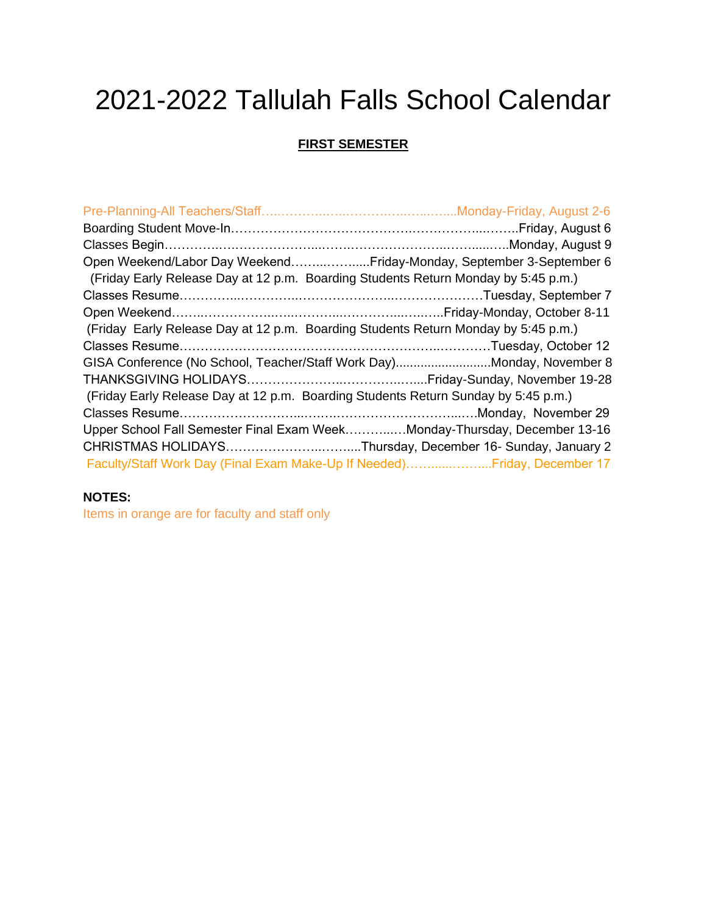# 2021-2022 Tallulah Falls School Calendar

#### **FIRST SEMESTER**

| Open Weekend/Labor Day WeekendFriday-Monday, September 3-September 6               |  |
|------------------------------------------------------------------------------------|--|
| (Friday Early Release Day at 12 p.m. Boarding Students Return Monday by 5:45 p.m.) |  |
|                                                                                    |  |
|                                                                                    |  |
| (Friday Early Release Day at 12 p.m. Boarding Students Return Monday by 5:45 p.m.) |  |
|                                                                                    |  |
| GISA Conference (No School, Teacher/Staff Work Day)Monday, November 8              |  |
|                                                                                    |  |
| (Friday Early Release Day at 12 p.m. Boarding Students Return Sunday by 5:45 p.m.) |  |
|                                                                                    |  |
| Upper School Fall Semester Final Exam WeekMonday-Thursday, December 13-16          |  |
| CHRISTMAS HOLIDAYSThursday, December 16- Sunday, January 2                         |  |
| Faculty/Staff Work Day (Final Exam Make-Up If Needed)Friday, December 17           |  |

### **NOTES:**

Items in orange are for faculty and staff only